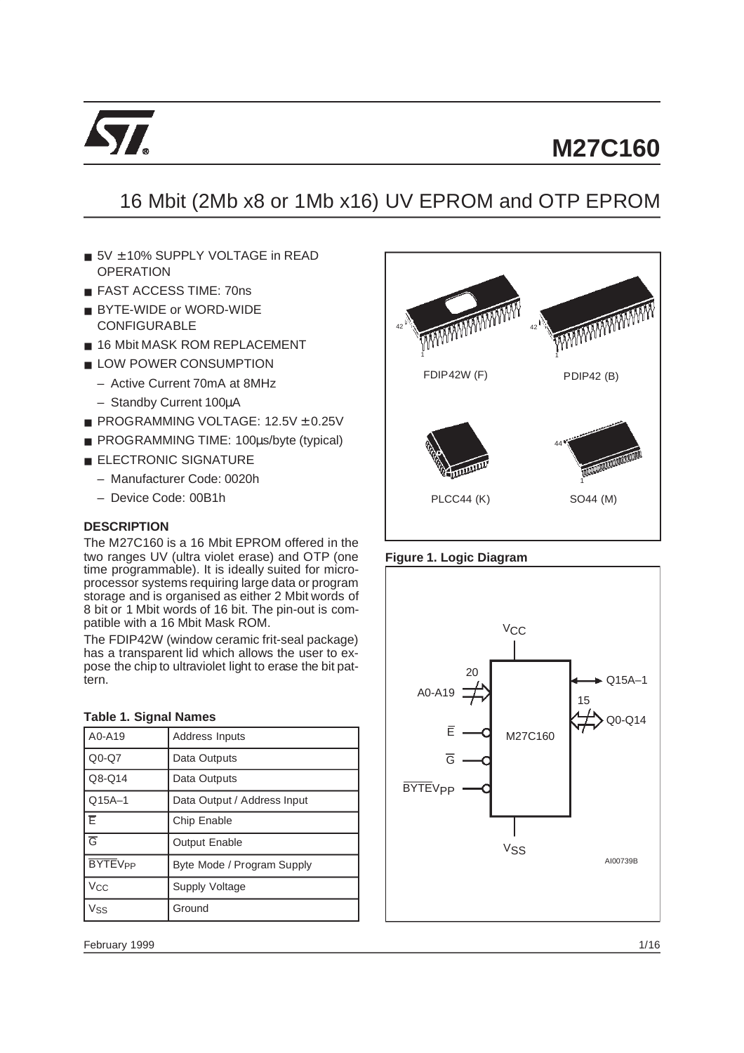

# 16 Mbit (2Mb x8 or 1Mb x16) UV EPROM and OTP EPROM

42

- 5V + 10% SUPPLY VOLTAGE in READ **OPERATION**
- FAST ACCESS TIME: 70ns
- BYTE-WIDE or WORD-WIDE CONFIGURABLE
- 16 Mbit MASK ROM REPLACEMENT
- LOW POWER CONSUMPTION
	- Active Current 70mA at 8MHz
	- Standby Current 100µA
- PROGRAMMING VOLTAGE: 12.5V ± 0.25V
- PROGRAMMING TIME: 100µs/byte (typical)
- ELECTRONIC SIGNATURE
	- Manufacturer Code: 0020h
	- Device Code: 00B1h

## **DESCRIPTION**

The M27C160 is a 16 Mbit EPROM offered in the two ranges UV (ultra violet erase) and OTP (one time programmable). It is ideally suited for microprocessor systems requiring large data or program storage and is organised as either 2 Mbit words of 8 bit or 1 Mbit words of 16 bit. The pin-out is compatible with a 16 Mbit Mask ROM.

The FDIP42W (window ceramic frit-seal package) has a transparent lid which allows the user to expose the chip to ultraviolet light to erase the bit pattern.

#### **Table 1. Signal Names**

| A0-A19                    | Address Inputs              |  |  |  |
|---------------------------|-----------------------------|--|--|--|
| $Q0-Q7$                   | Data Outputs                |  |  |  |
| Q8-Q14                    | Data Outputs                |  |  |  |
| $Q15A-1$                  | Data Output / Address Input |  |  |  |
| ΙĒ                        | Chip Enable                 |  |  |  |
| $\overline{G}$            | <b>Output Enable</b>        |  |  |  |
| <b>BYTEV<sub>PP</sub></b> | Byte Mode / Program Supply  |  |  |  |
| <b>Vcc</b>                | Supply Voltage              |  |  |  |
| Vss                       | Ground                      |  |  |  |





42



February 1999 1/16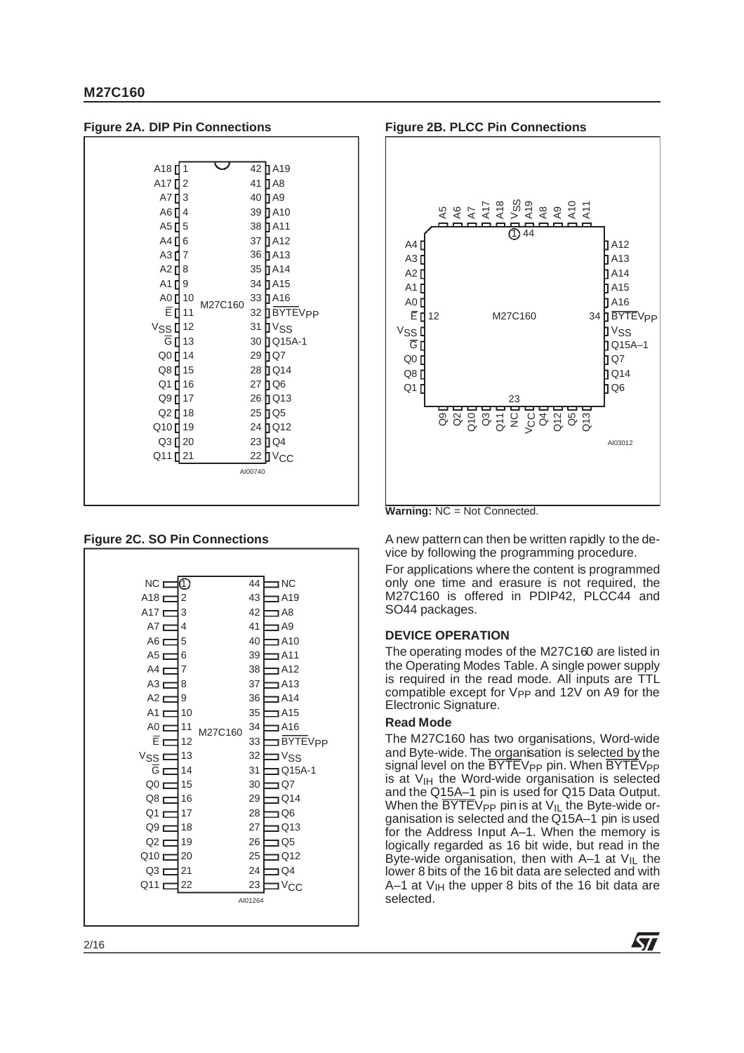| <b>Figure 2A. DIP Pin Connections</b> |             |         |         |                        |
|---------------------------------------|-------------|---------|---------|------------------------|
|                                       |             |         |         |                        |
| A <sub>18</sub> $\blacksquare$        | $\mathbf 1$ |         |         | 42 <b>A</b> 19         |
| A17 <sup>[2]</sup>                    |             |         |         | 41 <b>J</b> A8         |
| A7 <b>∐</b> 3                         |             |         |         | 40 <b>J</b> A9         |
| A6 <b>1</b> 4                         |             |         |         | 39 <b>1</b> A10        |
| A5 $\mathbf{0}$ 5                     |             |         |         | 38 A11                 |
| A4 [ 6                                |             |         |         | 37 <b>JA12</b>         |
| A317                                  |             |         |         | 36 A13                 |
| A2 $18$                               |             |         |         | 35 A14                 |
| A1 <sup>[19]</sup>                    |             |         |         | 34 A15                 |
| A0 <sup>1</sup> 10                    |             | M27C160 |         | 33 A16                 |
| Ē <b>[</b> 11                         |             |         |         | 32 BYTEV <sub>PP</sub> |
| V <sub>SS</sub> I <sup>12</sup>       |             |         |         | 31 J V <sub>SS</sub>   |
| G [ 13                                |             |         |         | 30 Q15A-1              |
| Q0 <sup>14</sup>                      |             |         |         | 29 DQ7                 |
| Q8 <sup>[15]</sup>                    |             |         |         | 28 Q14                 |
| Q1 <sup>16</sup>                      |             |         |         | 27 DQ6                 |
| Q9 [ 17                               |             |         |         | 26 Q13                 |
| Q2 [ 18                               |             |         |         | 25 Q Q 5               |
| Q10 <sup>[19]</sup>                   |             |         |         | 24 Q12                 |
| Q3 <sup>[20]</sup>                    |             |         |         | 23 DQ4                 |
| Q11 <sup>[21</sup>                    |             |         |         | 22 J V <sub>CC</sub>   |
|                                       |             |         | AI00740 |                        |
|                                       |             |         |         |                        |
|                                       |             |         |         |                        |

## **Figure 2C. SO Pin Connections**





**Warning:** NC = Not Connected.

A new pattern can then be written rapidly to the device by following the programming procedure.

For applications where the content is programmed only one time and erasure is not required, the M27C160 is offered in PDIP42, PLCC44 and SO44 packages.

#### **DEVICE OPERATION**

The operating modes of the M27C160 are listed in the Operating Modes Table. A single power supply is required in the read mode. All inputs are TTL compatible except for V<sub>PP</sub> and 12V on A9 for the Electronic Signature.

#### **Read Mode**

The M27C160 has two organisations, Word-wide and Byte-wide. The organisation is selected by the signal level on the BYTEV<sub>PP</sub> pin. When BYTEV<sub>PP</sub>  $is$  at  $V<sub>IH</sub>$  the Word-wide organisation is selected and the Q15A–1 pin is used for Q15 Data Output. When the  $\overline{BYTE}V_{PP}$  pin is at  $V_{IL}$  the Byte-wide organisation is selected and the Q15A–1 pin is used for the Address Input A–1. When the memory is logically regarded as 16 bit wide, but read in the Byte-wide organisation, then with A–1 at  $V_{IL}$  the lower 8 bits of the 16 bit data are selected and with A–1 at  $V_{IH}$  the upper 8 bits of the 16 bit data are selected.

57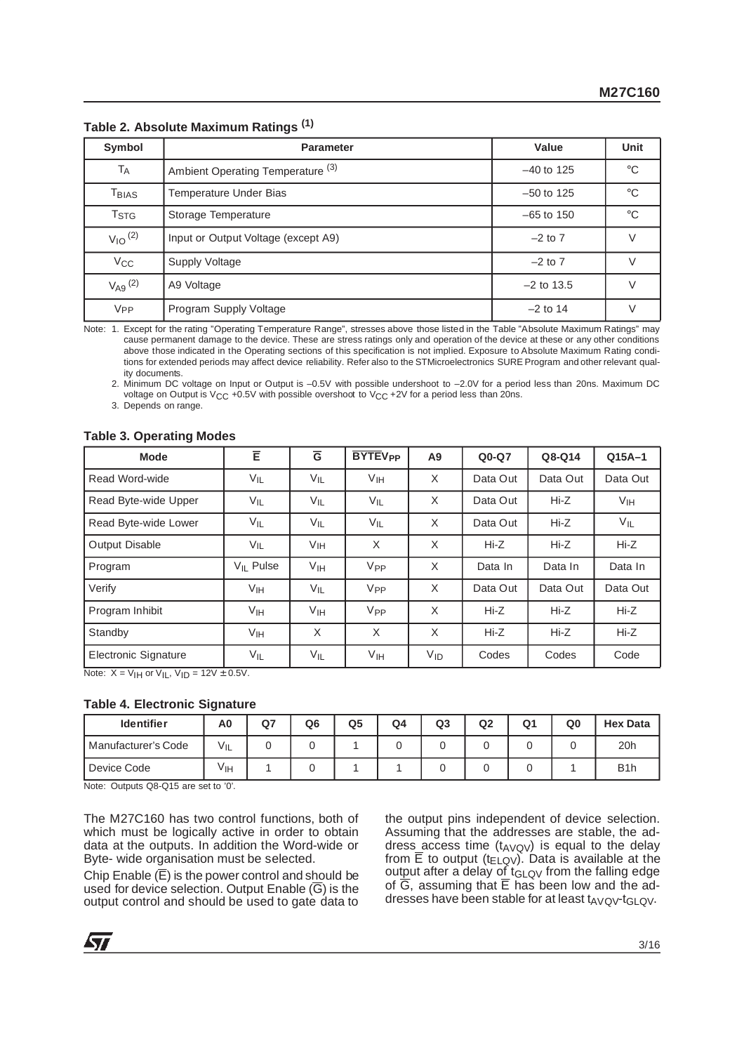| Symbol                         | <b>Parameter</b>                             | Value        | Unit         |
|--------------------------------|----------------------------------------------|--------------|--------------|
| TA                             | Ambient Operating Temperature <sup>(3)</sup> | $-40$ to 125 | $^{\circ}C$  |
| T <sub>BIAS</sub>              | Temperature Under Bias                       |              | $^{\circ}$ C |
| <b>T</b> <sub>STG</sub>        | Storage Temperature                          |              | $^{\circ}$ C |
| $V_{10}$ <sup>(2)</sup>        | Input or Output Voltage (except A9)          | $-2$ to $7$  |              |
| $V_{\rm CC}$<br>Supply Voltage |                                              | $-2$ to $7$  |              |
| $V_{A9}$ (2)                   | A9 Voltage                                   | $-2$ to 13.5 |              |
| <b>V<sub>PP</sub></b>          | Program Supply Voltage                       | $-2$ to 14   |              |

**Table 2. Absolute Maximum Ratings (1)**

Note: 1. Except for the rating "Operating Temperature Range", stresses above those listed in the Table "Absolute Maximum Ratings" may cause permanent damage to the device. These are stress ratings only and operation of the device at these or any other conditions above those indicated in the Operating sections of this specification is not implied. Exposure to Absolute Maximum Rating conditions for extended periods may affect device reliability. Refer also to the STMicroelectronics SURE Program and other relevant quality documents.

2. Minimum DC voltage on Input or Output is –0.5V with possible undershoot to –2.0V for a period less than 20ns. Maximum DC voltage on Output is V<sub>CC</sub> +0.5V with possible overshoot to V<sub>CC</sub> +2V for a period less than 20ns.

3. Depends on range.

#### **Table 3. Operating Modes**

| <b>Mode</b>          | Ē                     | $\overline{G}$  | <b>BYTEV<sub>PP</sub></b> | A9       | $Q0-Q7$  | Q8-Q14   | $Q15A-1$        |
|----------------------|-----------------------|-----------------|---------------------------|----------|----------|----------|-----------------|
| Read Word-wide       | VIL                   | VIL             | V <sub>IH</sub>           | X        | Data Out | Data Out | Data Out        |
| Read Byte-wide Upper | VIL                   | VIL             | VIL                       | $\times$ | Data Out | $Hi-Z$   | V <sub>IH</sub> |
| Read Byte-wide Lower | $V_{IL}$              | VIL             | VIL                       | $\times$ | Data Out | $Hi-Z$   | $V_{IL}$        |
| Output Disable       | VIL                   | Vıн             | X                         | X        | Hi-Z     | Hi-Z     | $Hi-Z$          |
| Program              | V <sub>II</sub> Pulse | Vін             | V <sub>PP</sub>           | X        | Data In  | Data In  | Data In         |
| Verify               | V <sub>IH</sub>       | $V_{IL}$        | V <sub>PP</sub>           | X        | Data Out | Data Out | Data Out        |
| Program Inhibit      | V <sub>IH</sub>       | V <sub>IH</sub> | V <sub>PP</sub>           | X        | Hi-Z     | Hi-Z     | Hi-Z            |
| Standby              | Vін                   | X               | X                         | X        | $Hi-Z$   | Hi-Z     | $Hi-Z$          |
| Electronic Signature | $V_{IL}$              | $V_{IL}$        | V <sub>IH</sub>           | $V_{ID}$ | Codes    | Codes    | Code            |

Note:  $X = V_H$  or  $V_H$ ,  $V_H = 12V \pm 0.5V$ .

#### **Table 4. Electronic Signature**

| <b>Identifier</b>   | A <sub>0</sub> | Q7 | Q <sub>6</sub> | Q5 | Q4 | Q <sub>3</sub> | Q2 | Q <sub>1</sub> | Q0 | <b>Hex Data</b>  |
|---------------------|----------------|----|----------------|----|----|----------------|----|----------------|----|------------------|
| Manufacturer's Code | VIL            |    |                |    |    |                |    |                |    | 20h              |
| Device Code         | Vıн            |    |                |    |    |                |    |                |    | B <sub>1</sub> h |

Note: Outputs Q8-Q15 are set to '0'.

The M27C160 has two control functions, both of which must be logically active in order to obtain data at the outputs. In addition the Word-wide or Byte- wide organisation must be selected.

Chip Enable  $(\overline{E})$  is the power control and should be used for device selection. Output Enable  $(\overline{G})$  is the output control and should be used to gate data to

the output pins independent of device selection. Assuming that the addresses are stable, the address\_access time  $(t_{\text{AVQV}})$  is equal to the delay from  $\overline{E}$  to output (t<sub>ELQV</sub>). Data is available at the output after a delay of  $t_{GLQV}$  from the falling edge of  $\overline{G}$ , assuming that  $\overline{E}$  has been low and the addresses have been stable for at least  $t_{AVO}v-t_{GI}$  ov.

**Syr**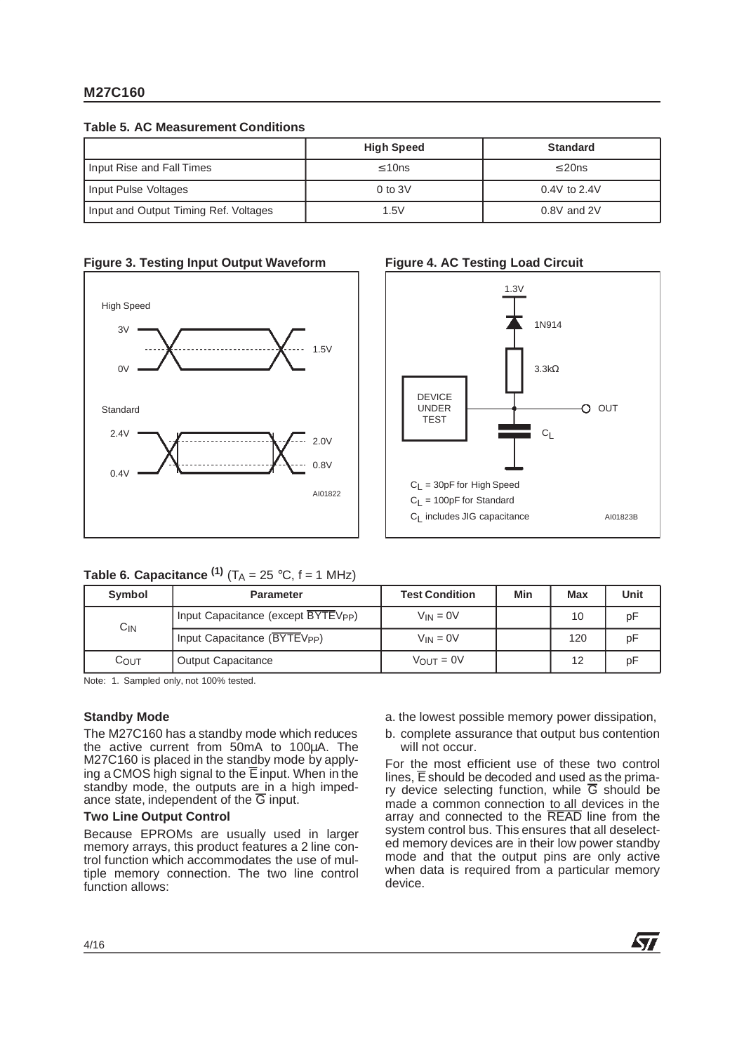**Table 5. AC Measurement Conditions**

|                                       | <b>High Speed</b> | <b>Standard</b>  |
|---------------------------------------|-------------------|------------------|
| Input Rise and Fall Times             | $\leq 10$ ns      | $\leq$ 20ns      |
| Input Pulse Voltages                  | $0$ to $3V$       | $0.4V$ to $2.4V$ |
| Input and Output Timing Ref. Voltages | 1.5V              | $0.8V$ and $2V$  |

## **Figure 3. Testing Input Output Waveform**





| Table 6. Capacitance $(1)$ (T <sub>A</sub> = 25 °C, f = 1 MHz) |  |
|----------------------------------------------------------------|--|
|----------------------------------------------------------------|--|

| Symbol           | <b>Parameter</b>                                | <b>Test Condition</b> | Min | Max | <b>Unit</b> |
|------------------|-------------------------------------------------|-----------------------|-----|-----|-------------|
| $C_{IN}$         | Input Capacitance (except BYTEV <sub>PP</sub> ) | $V_{IN} = 0V$         |     | 10  | pF          |
|                  | Input Capacitance (BYTEV <sub>PP</sub> )        | $V_{IN} = 0V$         |     | 120 | рF          |
| $C_{\text{OUT}}$ | <b>Output Capacitance</b>                       | $V_{\text{OUT}} = 0V$ |     | 12  | рF          |

Note: 1. Sampled only, not 100% tested.

## **Standby Mode**

The M27C160 has a standby mode which reduces the active current from 50mA to 100µA. The M27C160 is placed in the standby mode by applying a CMOS high signal to the  $\overline{E}$  input. When in the standby mode, the outputs are in a high impedance state, independent of the  $\overline{G}$  input.

## **Two Line Output Control**

Because EPROMs are usually used in larger memory arrays, this product features a 2 line control function which accommodates the use of multiple memory connection. The two line control function allows:

- a. the lowest possible memory power dissipation,
- b. complete assurance that output bus contention will not occur.

For the most efficient use of these two control lines,  $\overline{E}$  should be decoded and used as the primary device selecting function, while  $\overline{G}$  should be made a common connection to all devices in the array and connected to the READ line from the system control bus. This ensures that all deselected memory devices are in their low power standby mode and that the output pins are only active when data is required from a particular memory device.

## 4/16

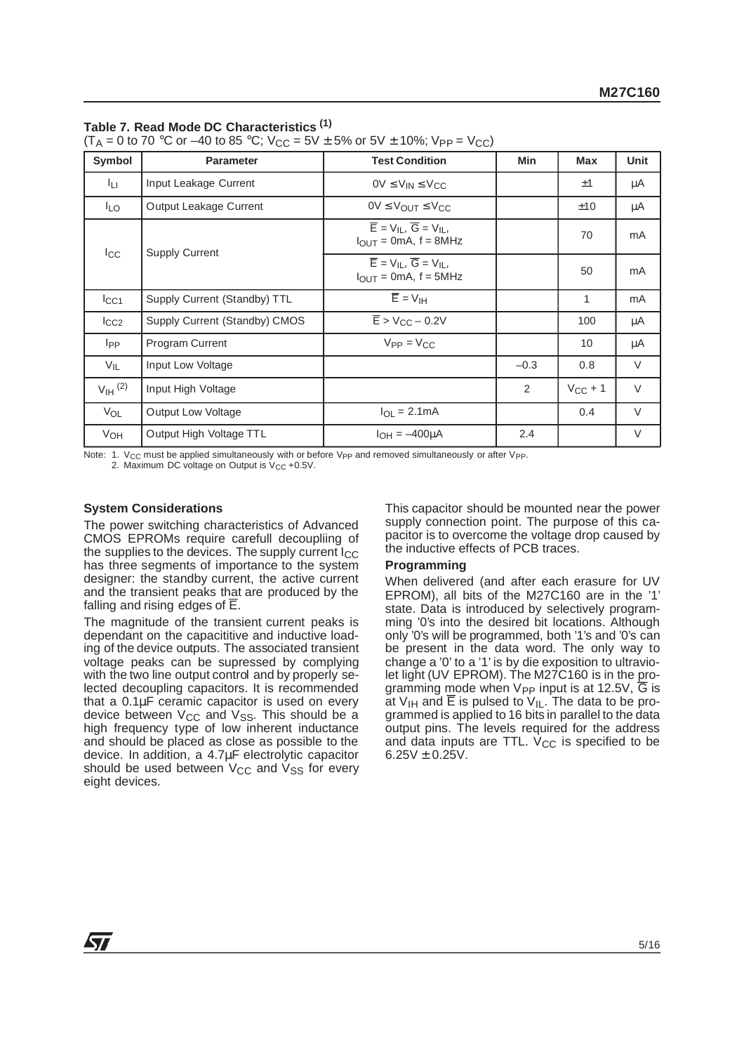#### **Table 7. Read Mode DC Characteristics (1)**

 $(T_A = 0 \text{ to } 70 \text{ °C or } -40 \text{ to } 85 \text{ °C};$   $V_{CC} = 5V \pm 5\% \text{ or } 5V \pm 10\%$ ;  $V_{PP} = V_{CC}$ )

| Symbol<br><b>Parameter</b>   |                               | <b>Test Condition</b>                                                                                                     | <b>Min</b> | <b>Max</b>   | <b>Unit</b> |
|------------------------------|-------------------------------|---------------------------------------------------------------------------------------------------------------------------|------------|--------------|-------------|
| Īц.<br>Input Leakage Current |                               | $OV \leq V_{IN} \leq V_{CC}$                                                                                              |            | ±1           | μA          |
| <sup>I</sup> LO              | Output Leakage Current        | $0V \leq V_{OUT} \leq V_{CC}$                                                                                             |            | ±10          | μA          |
| $_{\rm{lcc}}$                | <b>Supply Current</b>         | $\overline{E}$ = V <sub>II</sub> , $\overline{G}$ = V <sub>II</sub> ,<br>$I_{\text{OUT}} = 0 \text{mA}, f = 8 \text{MHz}$ |            | 70           | mA          |
|                              |                               | $\overline{E}$ = V <sub>IL</sub> , $\overline{G}$ = V <sub>IL</sub> ,<br>$I_{\text{OUT}} = 0 \text{mA}, f = 5 \text{MHz}$ |            | 50           | mA          |
| $I_{\rm CC1}$                | Supply Current (Standby) TTL  | $\overline{E}$ = $V_{\text{IH}}$                                                                                          |            | 1            | mA          |
| $I_{CC2}$                    | Supply Current (Standby) CMOS | $\overline{E}$ > V <sub>CC</sub> – 0.2V                                                                                   |            | 100          | μA          |
| l <sub>PP</sub>              | <b>Program Current</b>        | $V_{PP} = V_{CC}$                                                                                                         |            | 10           | μA          |
| $V_{IL}$                     | Input Low Voltage             |                                                                                                                           | $-0.3$     | 0.8          | $\vee$      |
| $V_{\text{IH}}^{(2)}$        | Input High Voltage            |                                                                                                                           | 2          | $V_{CC}$ + 1 | $\vee$      |
| VOL<br>Output Low Voltage    |                               | $I_{\Omega I} = 2.1 \text{mA}$                                                                                            |            | 0.4          | $\vee$      |
| VOH                          | Output High Voltage TTL       | $I_{OH} = -400 \mu A$                                                                                                     | 2.4        |              | V           |

Note: 1. V<sub>CC</sub> must be applied simultaneously with or before V<sub>PP</sub> and removed simultaneously or after V<sub>PP</sub>. 2. Maximum DC voltage on Output is V<sub>CC</sub> +0.5V.

#### **System Considerations**

The power switching characteristics of Advanced CMOS EPROMs require carefull decoupliing of the supplies to the devices. The supply current  $I_{CC}$ has three segments of importance to the system designer: the standby current, the active current and the transient peaks that are produced by the falling and rising edges of E.

The magnitude of the transient current peaks is dependant on the capacititive and inductive loading of the device outputs. The associated transient voltage peaks can be supressed by complying with the two line output control and by properly selected decoupling capacitors. It is recommended that a 0.1µF ceramic capacitor is used on every device between  $V_{CC}$  and  $V_{SS}$ . This should be a high frequency type of low inherent inductance and should be placed as close as possible to the device. In addition, a 4.7µF electrolytic capacitor should be used between  $V_{CC}$  and  $V_{SS}$  for every eight devices.

This capacitor should be mounted near the power supply connection point. The purpose of this capacitor is to overcome the voltage drop caused by the inductive effects of PCB traces.

#### **Programming**

When delivered (and after each erasure for UV EPROM), all bits of the M27C160 are in the '1' state. Data is introduced by selectively programming '0's into the desired bit locations. Although only '0's will be programmed, both '1's and '0's can be present in the data word. The only way to change a '0' to a '1' is by die exposition to ultraviolet light (UV EPROM). The M27C160 is in the programming mode when  $V_{PP}$  input is at 12.5V,  $\overline{G}$  is at  $V_{IH}$  and E is pulsed to  $V_{IL}$ . The data to be programmed is applied to 16 bits in parallel to the data output pins. The levels required for the address and data inputs are TTL.  $V_{CC}$  is specified to be  $6.25V \pm 0.25V$ .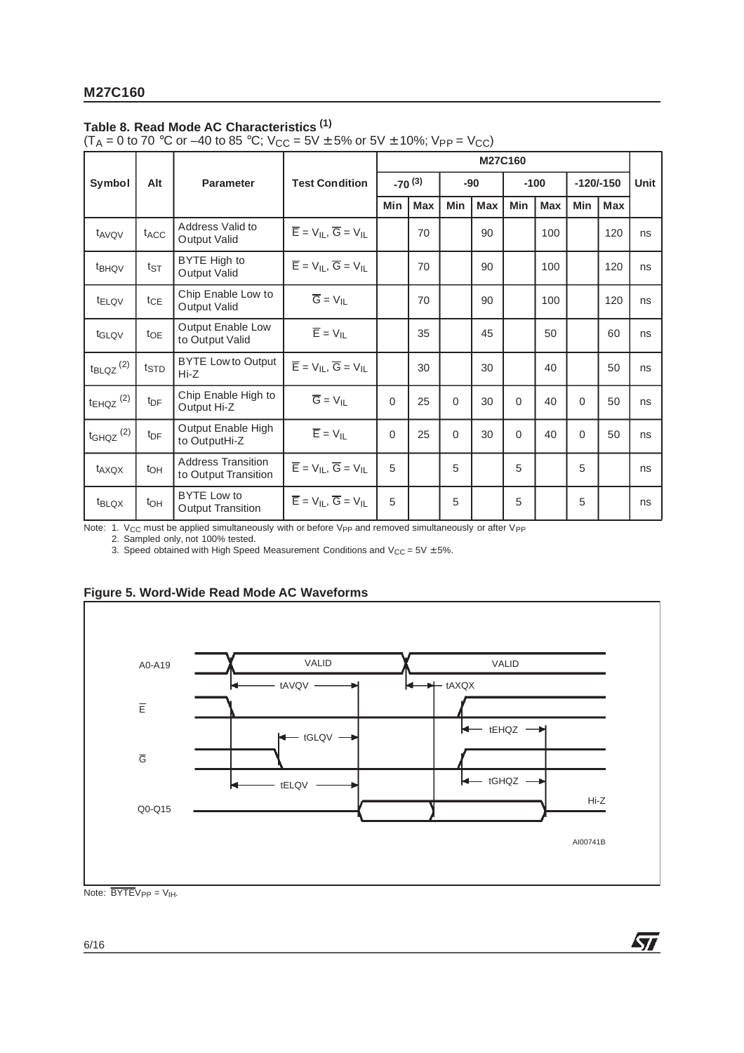## **Table 8. Read Mode AC Characteristics (1)**

(T<sub>A</sub> = 0 to 70 °C or –40 to 85 °C; V<sub>CC</sub> = 5V  $\pm$  5% or 5V  $\pm$  10%; V<sub>PP</sub> = V<sub>CC</sub>)

|                                  |                  |                                                   |                                                       | M27C160  |            |            |            |          |            |          |             |      |
|----------------------------------|------------------|---------------------------------------------------|-------------------------------------------------------|----------|------------|------------|------------|----------|------------|----------|-------------|------|
| Symbol                           | Alt              | <b>Parameter</b>                                  | <b>Test Condition</b>                                 |          | $-70(3)$   |            | $-90$      |          | $-100$     |          | $-120/-150$ | Unit |
|                                  |                  |                                                   |                                                       | Min      | <b>Max</b> | <b>Min</b> | <b>Max</b> | Min      | <b>Max</b> | Min      | <b>Max</b>  |      |
| t <sub>AVQV</sub>                | t <sub>ACC</sub> | Address Valid to<br>Output Valid                  | $\overline{E}$ = $V_{IL}$ , $\overline{G}$ = $V_{IL}$ |          | 70         |            | 90         |          | 100        |          | 120         | ns   |
| t <sub>BHQV</sub>                | $t_{ST}$         | BYTE High to<br>Output Valid                      | $\overline{E}$ = $V_{IL}$ , $\overline{G}$ = $V_{IL}$ |          | 70         |            | 90         |          | 100        |          | 120         | ns   |
| t <sub>ELQV</sub>                | $t_{CE}$         | Chip Enable Low to<br>Output Valid                | $\overline{G} = V_{II}$                               |          | 70         |            | 90         |          | 100        |          | 120         | ns   |
| t <sub>GLQV</sub>                | $t_{OE}$         | Output Enable Low<br>to Output Valid              | $\overline{E}$ = $V_{IL}$                             |          | 35         |            | 45         |          | 50         |          | 60          | ns   |
| $t_{\text{BLQZ}}$ <sup>(2)</sup> | $t_{\text{STD}}$ | <b>BYTE Low to Output</b><br>$Hi-Z$               | $\overline{E}$ = $V_{IL}$ , $\overline{G}$ = $V_{IL}$ |          | 30         |            | 30         |          | 40         |          | 50          | ns   |
| $t_{EHQZ}$ <sup>(2)</sup>        | $t_{\text{DF}}$  | Chip Enable High to<br>Output Hi-Z                | $\overline{G} = V_{II}$                               | $\Omega$ | 25         | 0          | 30         | $\Omega$ | 40         | $\Omega$ | 50          | ns   |
| $t_{GHQZ}$ $(2)$                 | $t_{\text{DF}}$  | Output Enable High<br>to OutputHi-Z               | $\overline{E} = V_{IL}$                               | $\Omega$ | 25         | 0          | 30         | $\Omega$ | 40         | $\Omega$ | 50          | ns   |
| t <sub>AXQX</sub>                | toh              | <b>Address Transition</b><br>to Output Transition | $\overline{E}$ = $V_{IL}$ , $\overline{G}$ = $V_{IL}$ | 5        |            | 5          |            | 5        |            | 5        |             | ns   |
| t <sub>BLQX</sub>                | t <sub>OH</sub>  | <b>BYTE Low to</b><br><b>Output Transition</b>    | $\overline{E}$ = $V_{IL}$ , $\overline{G}$ = $V_{IL}$ | 5        |            | 5          |            | 5        |            | 5        |             | ns   |

Note: 1. V<sub>CC</sub> must be applied simultaneously with or before V<sub>PP</sub> and removed simultaneously or after V<sub>PP</sub><br>2. Sampled only, not 100% tested.

3. Speed obtained with High Speed Measurement Conditions and  $V_{CC} = 5V \pm 5\%$ .





牙

Note:  $\overline{BYTE}V_{PP} = V_{IH}$ .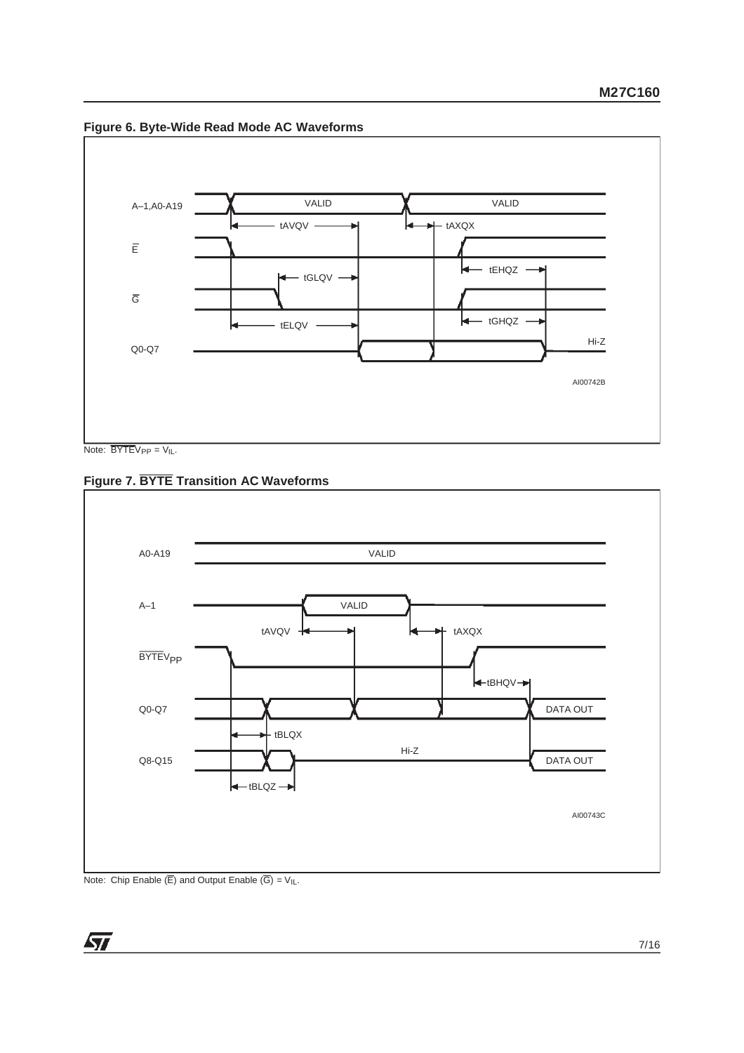



Note:  $\overline{BYTE}V_{PP} = V_{IL}$ .

**Figure 7. BYTE Transition AC Waveforms**



Note: Chip Enable  $(\overline{E})$  and Output Enable  $(\overline{G}) = V_{I}L$ .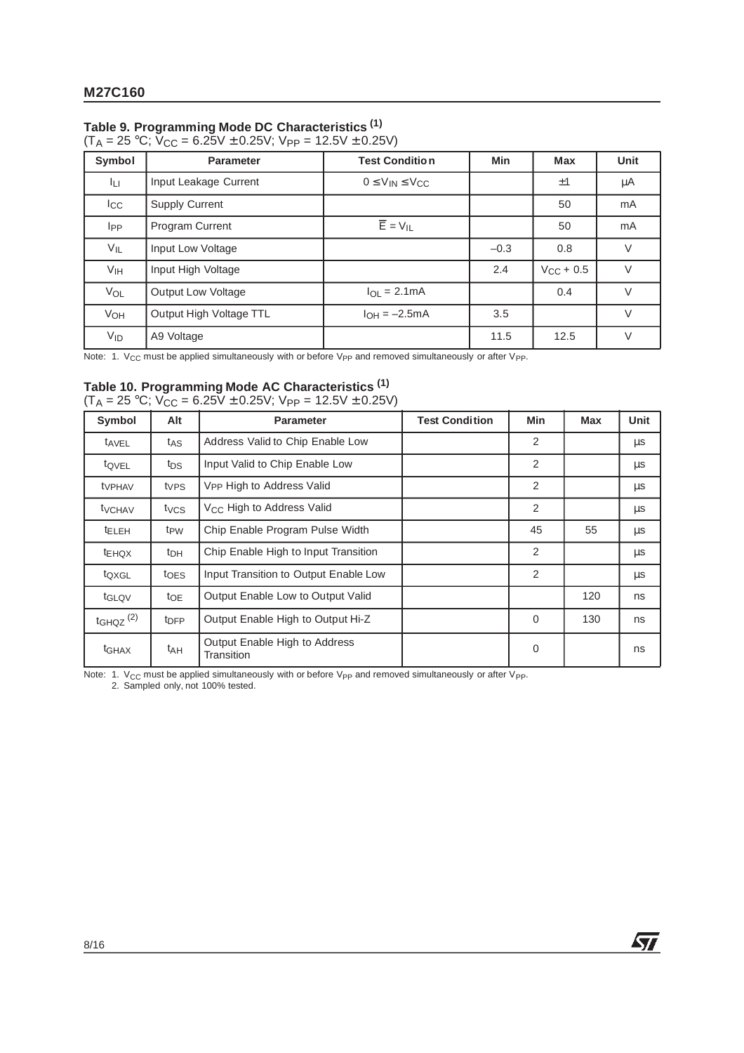## **Table 9. Programming Mode DC Characteristics (1)**

| $(LA = 25^{\circ}C, VCC = 0.25V \pm 0.25V, VPP = 12.5V \pm 0.25V)$ |                       |                             |     |            |                |  |  |  |  |
|--------------------------------------------------------------------|-----------------------|-----------------------------|-----|------------|----------------|--|--|--|--|
| Symbol                                                             | <b>Parameter</b>      | <b>Test Condition</b>       | Min | <b>Max</b> | Unit           |  |  |  |  |
| IП                                                                 | Input Leakage Current | $0 \leq V_{IN} \leq V_{CC}$ |     | Ŧ          | uА             |  |  |  |  |
| ۔ ۔ ا                                                              | 0.1221112002221       |                             |     | $\sqrt{2}$ | $ \sim$ $\sim$ |  |  |  |  |

 $(T_A = 25 \text{ °C}; V_{CC} = 6.25V \pm 0.25V; V_{PP} = 12.5V \pm 0.25V)$ 

ILI Input Leakage Current 0 ≤ VIN ≤ VCC ±1 µA Icc Supply Current 1 and 1 mA  $I_{PP}$  Program Current  $\overline{E}=V_{IL}$   $\overline{E}=V_{IL}$  50 mA  $V_{\text{IL}}$  | Input Low Voltage  $V_{\text{IL}}$  |  $-0.3$  | 0.8 | V  $V_{\text{IH}}$  | Input High Voltage  $V_{\text{CH}}$  | 2.4 |  $V_{\text{CC}} + 0.5$  | V  $V_{OL}$  Output Low Voltage  $V_{OL} = 2.1 \text{ mA}$  | 0.4 V  $V_{OH}$  Output High Voltage TTL  $I_{OH} = -2.5 \text{mA}$  3.5  $3.5$  V  $V_{\text{ID}}$   $\begin{array}{|l|} \end{array}$  A9 Voltage  $\begin{array}{|l|} \end{array}$  11.5  $\begin{array}{|l|} \end{array}$  12.5  $\begin{array}{|l|} \end{array}$  V

Note: 1. V<sub>CC</sub> must be applied simultaneously with or before V<sub>PP</sub> and removed simultaneously or after V<sub>PP</sub>.

# **Table 10. Programming Mode AC Characteristics (1)**

|  | $(T_A = 25 \text{ °C}; V_{CC} = 6.25V \pm 0.25V; V_{PP} = 12.5V \pm 0.25V)$ |  |
|--|-----------------------------------------------------------------------------|--|
|--|-----------------------------------------------------------------------------|--|

| Symbol                    | <b>Alt</b>       | <b>Parameter</b>                            | <b>Test Condition</b> | Min | <b>Max</b> | Unit |
|---------------------------|------------------|---------------------------------------------|-----------------------|-----|------------|------|
| tAVEL                     | tas              | Address Valid to Chip Enable Low            |                       | 2   |            | μs   |
| t <sub>QVEL</sub>         | t <sub>DS</sub>  | Input Valid to Chip Enable Low              |                       | 2   |            | μs   |
| <b>t</b> <sub>VPHAV</sub> | t <sub>VPS</sub> | V <sub>PP</sub> High to Address Valid       |                       | 2   |            | μs   |
| <b>t</b> <sub>VCHAV</sub> | t <sub>VCS</sub> | V <sub>CC</sub> High to Address Valid       |                       | 2   |            | μs   |
| <b>ELEH</b>               | t <sub>PW</sub>  | Chip Enable Program Pulse Width             |                       | 45  | 55         | μs   |
| <b>LEHOX</b>              | t <sub>DH</sub>  | Chip Enable High to Input Transition        |                       | 2   |            | μs   |
| toxgL                     | t <sub>OES</sub> | Input Transition to Output Enable Low       |                       | 2   |            | μs   |
| tGLQV                     | $t_{OE}$         | Output Enable Low to Output Valid           |                       |     | 120        | ns   |
| $t$ GHQZ $(2)$            | t <sub>DFP</sub> | Output Enable High to Output Hi-Z           |                       | 0   | 130        | ns   |
| t <sub>GHAX</sub>         | t <sub>AH</sub>  | Output Enable High to Address<br>Transition |                       | 0   |            | ns   |

牙

Note: 1.  $V_{CC}$  must be applied simultaneously with or before  $V_{PP}$  and removed simultaneously or after  $V_{PP}$ .

2. Sampled only, not 100% tested.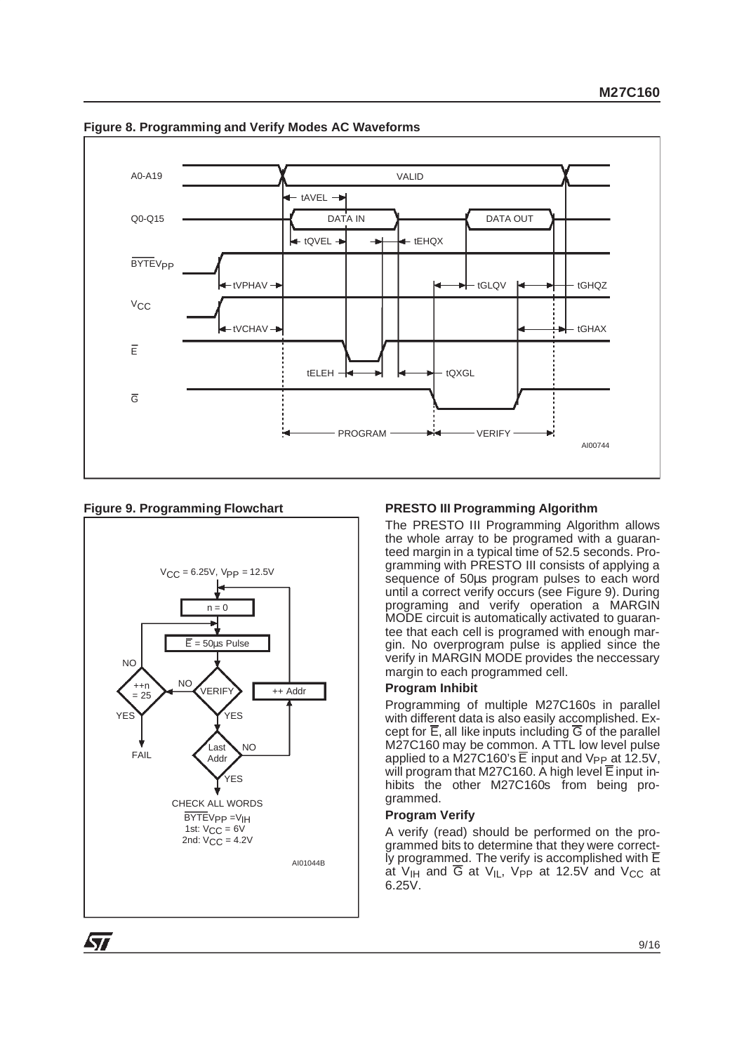

## **Figure 8. Programming and Verify Modes AC Waveforms**

## **Figure 9. Programming Flowchart**



## **PRESTO III Programming Algorithm**

The PRESTO III Programming Algorithm allows the whole array to be programed with a guaranteed margin in a typical time of 52.5 seconds. Programming with PRESTO III consists of applying a sequence of 50 $\mu$ s program pulses to each word until a correct verify occurs (see Figure 9). During programing and verify operation a MARGIN MODE circuit is automatically activated to guarantee that each cell is programed with enough margin. No overprogram pulse is applied since the verify in MARGIN MODE provides the neccessary margin to each programmed cell.

#### **Program Inhibit**

Programming of multiple M27C160s in parallel with different data is also easily accomplished. Except for  $\overline{E}$ , all like inputs including  $\overline{G}$  of the parallel M27C160 may be common. A TTL low level pulse applied to a  $M27C160$ 's  $\overline{E}$  input and V<sub>PP</sub> at 12.5V, will program that M27C160. A high level  $\overline{\mathsf{E}}$  input inhibits the other M27C160s from being programmed.

## **Program Verify**

A verify (read) should be performed on the programmed bits to determine that they were correct-Iy programmed. The verify is accomplished with  $\overline{E}$ at  $V_{\text{IH}}$  and  $\overline{G}$  at  $V_{\text{II}}$ ,  $V_{PP}$  at 12.5V and  $V_{CC}$  at 6.25V.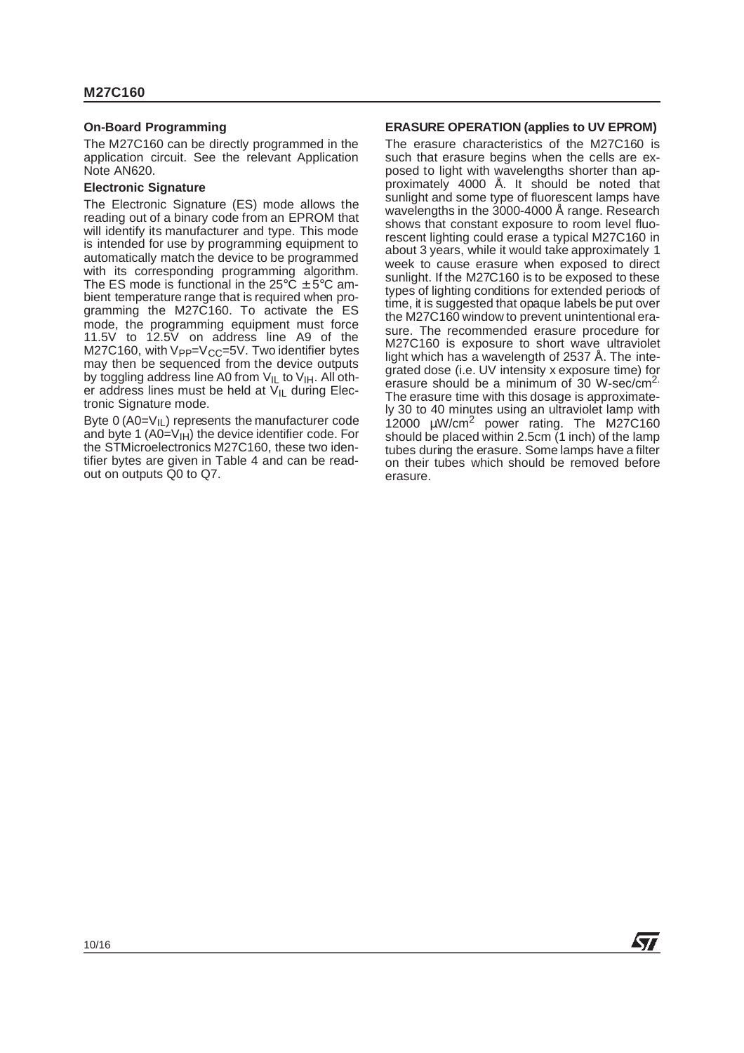### **On-Board Programming**

The M27C160 can be directly programmed in the application circuit. See the relevant Application Note AN620.

## **Electronic Signature**

The Electronic Signature (ES) mode allows the reading out of a binary code from an EPROM that will identify its manufacturer and type. This mode is intended for use by programming equipment to automatically match the device to be programmed with its corresponding programming algorithm. The ES mode is functional in the  $25^{\circ}$ C  $\pm$  5°C ambient temperature range that is required when programming the M27C160. To activate the ES mode, the programming equipment must force 11.5V to 12.5V on address line A9 of the M27C160, with Vpp=Vcc=5V. Two identifier bytes may then be sequenced from the device outputs by toggling address line A0 from  $V_{IL}$  to  $V_{IH}$ . All other address lines must be held at  $V_{\parallel}$  during Electronic Signature mode.

Byte  $0$  (A0= $V_{\text{II}}$ ) represents the manufacturer code and byte 1 (A0= $V_{\text{IH}}$ ) the device identifier code. For the STMicroelectronics M27C160, these two identifier bytes are given in Table 4 and can be readout on outputs Q0 to Q7.

#### **ERASURE OPERATION (applies to UV EPROM)**

The erasure characteristics of the M27C160 is such that erasure begins when the cells are exposed to light with wavelengths shorter than approximately 4000 Å. It should be noted that sunlight and some type of fluorescent lamps have wavelengths in the 3000-4000 Å range. Research shows that constant exposure to room level fluorescent lighting could erase a typical M27C160 in about 3 years, while it would take approximately 1 week to cause erasure when exposed to direct sunlight. If the M27C160 is to be exposed to these types of lighting conditions for extended periods of time, it is suggested that opaque labels be put over the M27C160 window to prevent unintentional erasure. The recommended erasure procedure for M27C160 is exposure to short wave ultraviolet light which has a wavelength of 2537 Å. The integrated dose (i.e. UV intensity x exposure time) for erasure should be a minimum of 30 W-sec/cm<sup>2.</sup> The erasure time with this dosage is approximately 30 to 40 minutes using an ultraviolet lamp with 12000 µW/cm<sup>2</sup> power rating. The M27C160 should be placed within 2.5cm  $(1 \text{ inch})$  of the lamp tubes during the erasure. Some lamps have a filter on their tubes which should be removed before erasure.

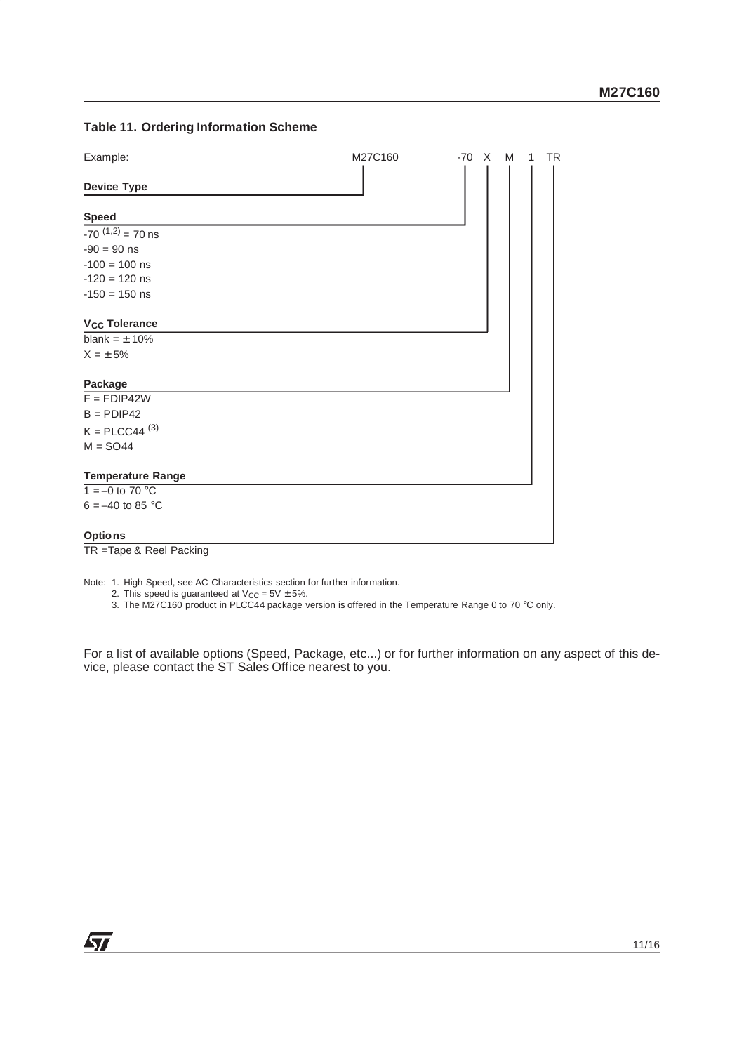## **Table 11. Ordering Information Scheme**

| Example:                        | M27C160 | $-70 \times M$ |  | <b>TR</b><br>1 |
|---------------------------------|---------|----------------|--|----------------|
| <b>Device Type</b>              |         |                |  |                |
| <b>Speed</b>                    |         |                |  |                |
| $-70^{(1,2)} = 70$ ns           |         |                |  |                |
| $-90 = 90$ ns                   |         |                |  |                |
| $-100 = 100$ ns                 |         |                |  |                |
| $-120 = 120$ ns                 |         |                |  |                |
| $-150 = 150$ ns                 |         |                |  |                |
| <b>V<sub>CC</sub></b> Tolerance |         |                |  |                |
| blank = $\pm$ 10%               |         |                |  |                |
| $X = \pm 5\%$                   |         |                |  |                |
| Package                         |         |                |  |                |
| $F = FDIP42W$                   |         |                |  |                |
| $B = PDP42$                     |         |                |  |                |
| $K = P L C C 44$ <sup>(3)</sup> |         |                |  |                |
| $M = SO44$                      |         |                |  |                |
| <b>Temperature Range</b>        |         |                |  |                |
| $1 = -0$ to 70 °C               |         |                |  |                |
| $6 = -40$ to 85 °C              |         |                |  |                |
| <b>Options</b>                  |         |                |  |                |

TR =Tape & Reel Packing

Note: 1. High Speed, see AC Characteristics section for further information.

2. This speed is guaranteed at  $V_{CC}$  = 5V  $\pm$  5%.

3. The M27C160 product in PLCC44 package version is offered in the Temperature Range 0 to 70 °C only.

For a list of available options (Speed, Package, etc...) or for further information on any aspect of this device, please contact the ST Sales Office nearest to you.

牙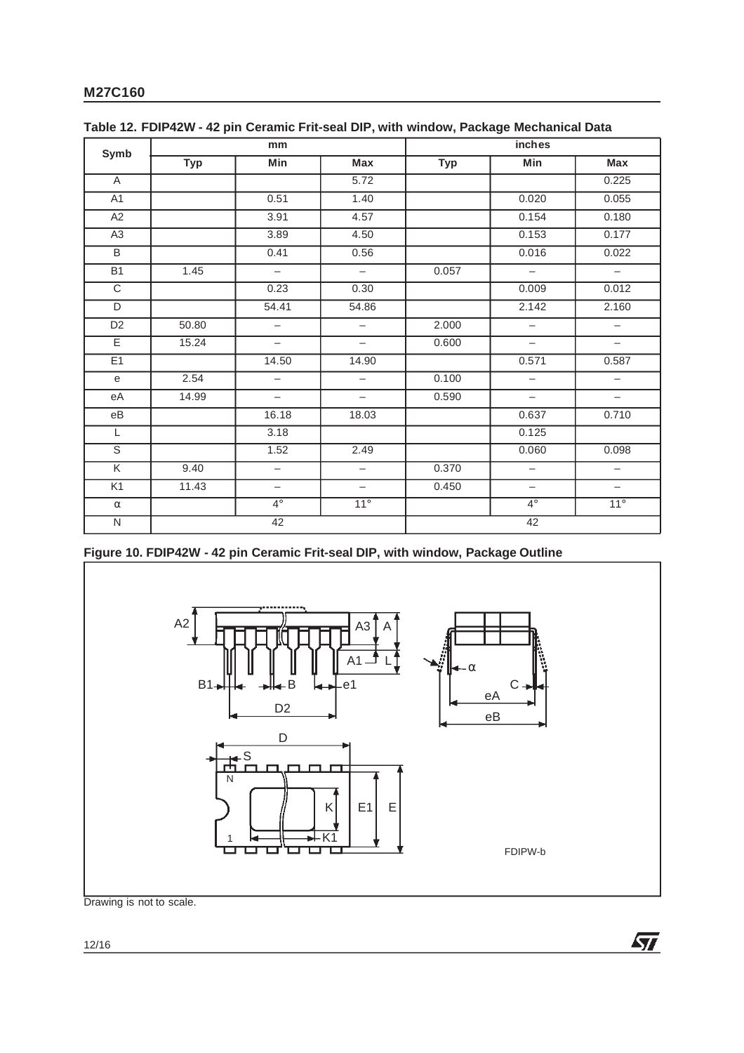| Symb                    |            | mm                       |                          | inches     |                          |                          |  |
|-------------------------|------------|--------------------------|--------------------------|------------|--------------------------|--------------------------|--|
|                         | <b>Typ</b> | Min                      | Max                      | <b>Typ</b> | Min                      | Max                      |  |
| A                       |            |                          | 5.72                     |            |                          | 0.225                    |  |
| A <sub>1</sub>          |            | 0.51                     | 1.40                     |            | 0.020                    | 0.055                    |  |
| A2                      |            | 3.91                     | 4.57                     |            | 0.154                    | 0.180                    |  |
| A <sub>3</sub>          |            | 3.89                     | 4.50                     |            | 0.153                    | 0.177                    |  |
| B                       |            | 0.41                     | 0.56                     |            | 0.016                    | 0.022                    |  |
| <b>B1</b>               | 1.45       | $\overline{\phantom{a}}$ | $\overline{\phantom{0}}$ | 0.057      | $\overline{\phantom{m}}$ | $\overline{\phantom{m}}$ |  |
| C                       |            | 0.23                     | 0.30                     |            | 0.009                    | 0.012                    |  |
| D                       |            | 54.41                    | 54.86                    |            | 2.142                    | 2.160                    |  |
| D <sub>2</sub>          | 50.80      | $\qquad \qquad -$        | $\overline{\phantom{m}}$ | 2.000      | $\overline{\phantom{0}}$ | $\overline{\phantom{0}}$ |  |
| E                       | 15.24      | $\overline{\phantom{a}}$ | $\overline{\phantom{a}}$ | 0.600      | $\overline{\phantom{m}}$ | $\overline{\phantom{m}}$ |  |
| E <sub>1</sub>          |            | 14.50                    | 14.90                    |            | 0.571                    | 0.587                    |  |
| e                       | 2.54       | $\overline{\phantom{a}}$ | $\overline{\phantom{0}}$ | 0.100      | $\overline{\phantom{0}}$ | $\overline{\phantom{a}}$ |  |
| eA                      | 14.99      | $\overline{\phantom{a}}$ | $\overline{\phantom{0}}$ | 0.590      | $\overline{\phantom{m}}$ | $\overline{\phantom{a}}$ |  |
| $\rm eB$                |            | 16.18                    | 18.03                    |            | 0.637                    | 0.710                    |  |
| L                       |            | 3.18                     |                          |            | 0.125                    |                          |  |
| $\mathbb S$             |            | 1.52                     | 2.49                     |            | 0.060                    | 0.098                    |  |
| $\overline{\mathsf{K}}$ | 9.40       | $\overline{\phantom{0}}$ | $\overline{\phantom{m}}$ | 0.370      | $\overline{\phantom{m}}$ | $\overline{\phantom{0}}$ |  |
| K1                      | 11.43      | $\overline{\phantom{m}}$ | $\overline{\phantom{m}}$ | 0.450      | $\overline{\phantom{m}}$ | $\overline{\phantom{m}}$ |  |
| $\alpha$                |            | $4^\circ$                | $11^{\circ}$             |            | $4^\circ$                | $11^{\circ}$             |  |
| $\overline{N}$          | 42         |                          |                          | 42         |                          |                          |  |

**Table 12. FDIP42W - 42 pin Ceramic Frit-seal DIP, with window, Package Mechanical Data**

**Figure 10. FDIP42W - 42 pin Ceramic Frit-seal DIP, with window, Package Outline**



Drawing is not to scale.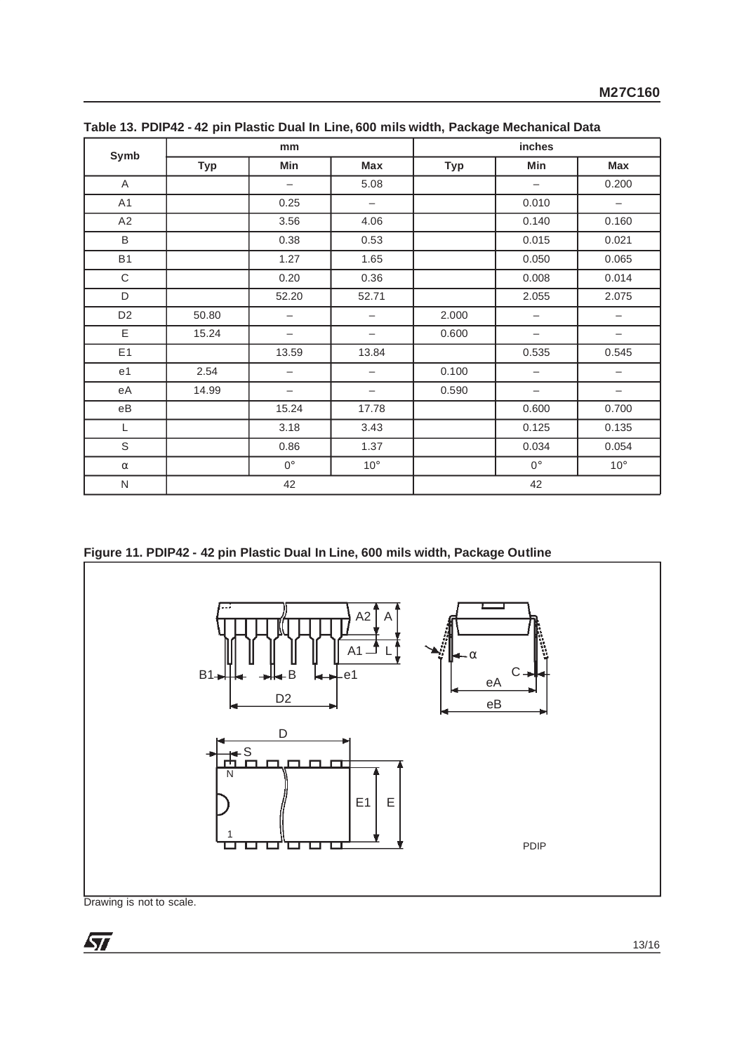| Symb           |            | mm                       |                          | inches     |                          |                          |  |
|----------------|------------|--------------------------|--------------------------|------------|--------------------------|--------------------------|--|
|                | <b>Typ</b> | Min                      | Max                      | <b>Typ</b> | Min                      | <b>Max</b>               |  |
| A              |            | $\overline{\phantom{0}}$ | 5.08                     |            | $\overline{\phantom{m}}$ | 0.200                    |  |
| A1             |            | 0.25                     | $\qquad \qquad -$        |            | 0.010                    | $\overline{\phantom{a}}$ |  |
| A2             |            | 3.56                     | 4.06                     |            | 0.140                    | 0.160                    |  |
| $\mathsf B$    |            | 0.38                     | 0.53                     |            | 0.015                    | 0.021                    |  |
| <b>B1</b>      |            | 1.27                     | 1.65                     |            | 0.050                    | 0.065                    |  |
| $\mathbf C$    |            | 0.20                     | 0.36                     |            | 0.008                    | 0.014                    |  |
| D              |            | 52.20                    | 52.71                    |            | 2.055                    | 2.075                    |  |
| D <sub>2</sub> | 50.80      | $\qquad \qquad -$        | $\overline{\phantom{0}}$ | 2.000      | $\overline{\phantom{m}}$ | $\overline{\phantom{0}}$ |  |
| E              | 15.24      | $\overline{\phantom{0}}$ | —                        | 0.600      | $\overline{\phantom{m}}$ | $\qquad \qquad -$        |  |
| E <sub>1</sub> |            | 13.59                    | 13.84                    |            | 0.535                    | 0.545                    |  |
| e <sub>1</sub> | 2.54       |                          | —                        | 0.100      |                          |                          |  |
| еA             | 14.99      | $\overline{\phantom{0}}$ | $\overline{\phantom{0}}$ | 0.590      | $\overline{\phantom{m}}$ | $\overline{\phantom{0}}$ |  |
| $\rm eB$       |            | 15.24                    | 17.78                    |            | 0.600                    | 0.700                    |  |
| L              |            | 3.18                     | 3.43                     |            | 0.125                    | 0.135                    |  |
| $\mathsf S$    |            | 0.86                     | 1.37                     |            | 0.034                    | 0.054                    |  |
| $\alpha$       |            | $0^\circ$                | $10^{\circ}$             |            | $0^{\circ}$              | $10^{\circ}$             |  |
| ${\sf N}$      | 42         |                          |                          | 42         |                          |                          |  |

**Table 13. PDIP42 - 42 pin Plastic Dual In Line, 600 mils width, Package Mechanical Data**

**Figure 11. PDIP42 - 42 pin Plastic Dual In Line, 600 mils width, Package Outline**



Drawing is not to scale.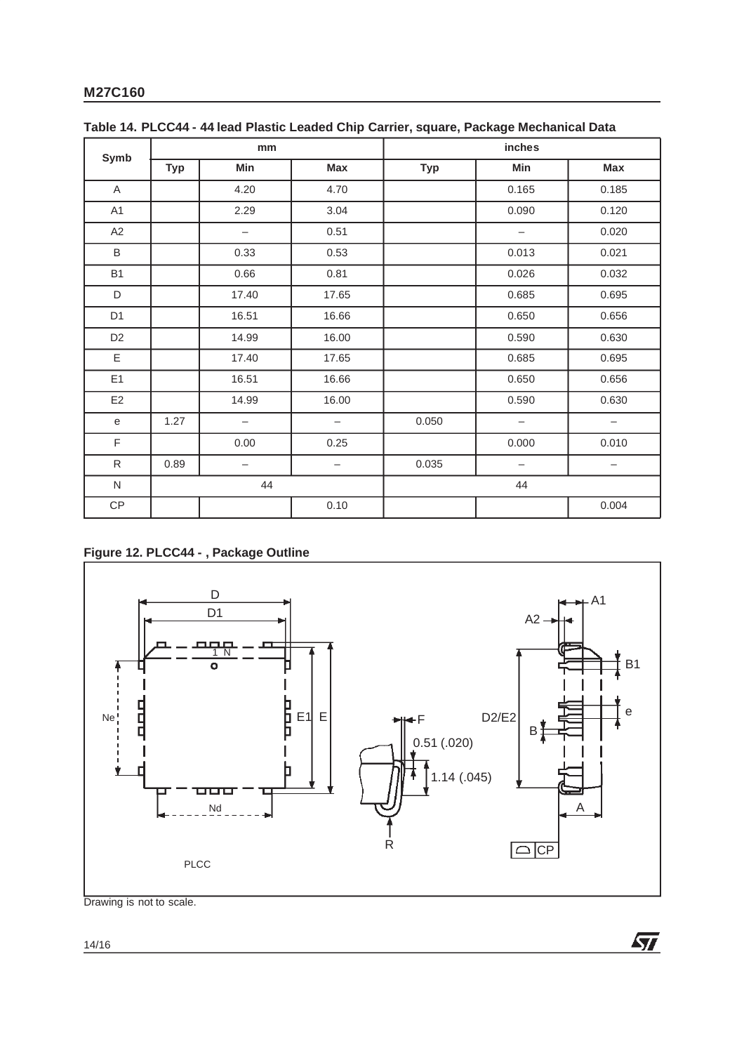|                | mm         |                          |                          | inches     |                          |                          |  |
|----------------|------------|--------------------------|--------------------------|------------|--------------------------|--------------------------|--|
| Symb           | <b>Typ</b> | Min                      | <b>Max</b>               | <b>Typ</b> | Min                      | Max                      |  |
| A              |            | 4.20                     | 4.70                     |            | 0.165                    | 0.185                    |  |
| A <sub>1</sub> |            | 2.29                     | 3.04                     |            | 0.090                    | 0.120                    |  |
| A2             |            | $\qquad \qquad -$        | 0.51                     |            | $\overline{\phantom{m}}$ | 0.020                    |  |
| B              |            | 0.33                     | 0.53                     |            | 0.013                    | 0.021                    |  |
| <b>B1</b>      |            | 0.66                     | 0.81                     |            | 0.026                    | 0.032                    |  |
| D              |            | 17.40                    | 17.65                    |            | 0.685                    | 0.695                    |  |
| D <sub>1</sub> |            | 16.51                    | 16.66                    |            | 0.650                    | 0.656                    |  |
| D <sub>2</sub> |            | 14.99                    | 16.00                    |            | 0.590                    | 0.630                    |  |
| E              |            | 17.40                    | 17.65                    |            | 0.685                    | 0.695                    |  |
| E1             |            | 16.51                    | 16.66                    |            | 0.650                    | 0.656                    |  |
| E <sub>2</sub> |            | 14.99                    | 16.00                    |            | 0.590                    | 0.630                    |  |
| $\mathsf{e}$   | 1.27       | $\qquad \qquad -$        | $\overline{\phantom{0}}$ | 0.050      | $\overline{\phantom{m}}$ | $\qquad \qquad -$        |  |
| F              |            | 0.00                     | 0.25                     |            | 0.000                    | 0.010                    |  |
| ${\sf R}$      | 0.89       | $\overline{\phantom{m}}$ | $\overline{\phantom{m}}$ | 0.035      | $\overline{\phantom{m}}$ | $\overline{\phantom{m}}$ |  |
| ${\sf N}$      | 44         |                          |                          | 44         |                          |                          |  |
| CP             |            |                          | 0.10                     |            |                          | 0.004                    |  |

**Table 14. PLCC44 - 44 lead Plastic Leaded Chip Carrier, square, Package Mechanical Data**

## **Figure 12. PLCC44 - , Package Outline**



 $\sqrt{27}$ 

Drawing is not to scale.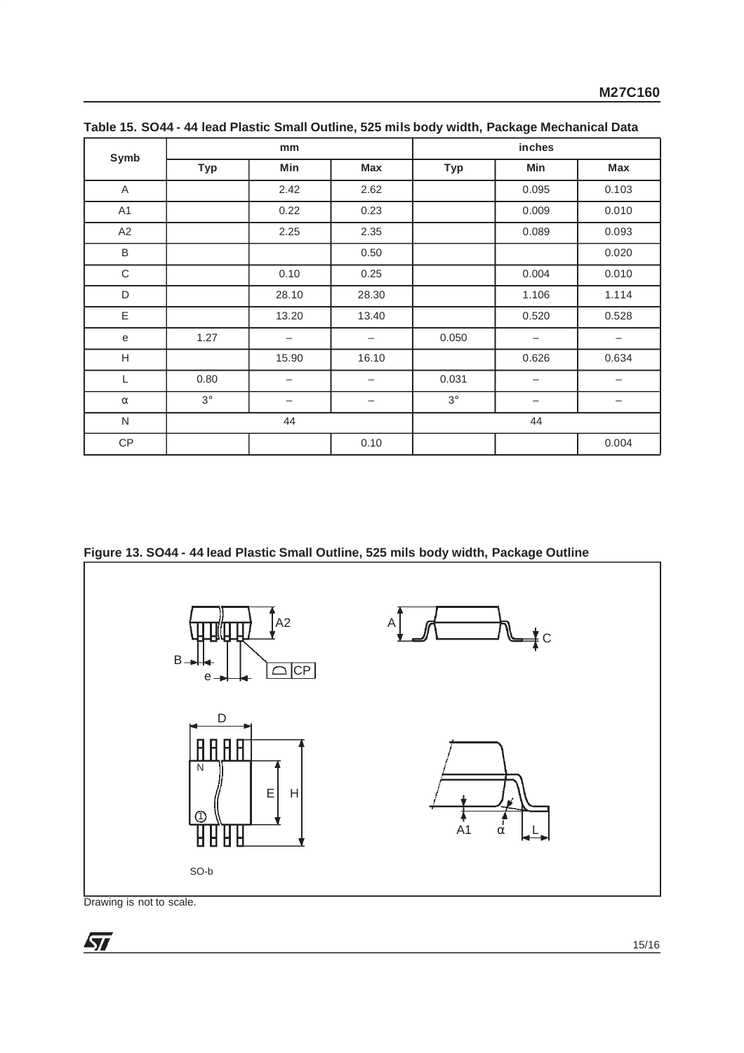| Symb        |            | mm    |                 | inches     |                          |                          |  |
|-------------|------------|-------|-----------------|------------|--------------------------|--------------------------|--|
|             | <b>Typ</b> | Min   | Max             | <b>Typ</b> | Min                      | Max                      |  |
| Α           |            | 2.42  | 2.62            |            | 0.095                    | 0.103                    |  |
| A1          |            | 0.22  | 0.23            |            | 0.009                    | 0.010                    |  |
| A2          |            | 2.25  | 2.35            |            | 0.089                    | 0.093                    |  |
| $\sf B$     |            |       | 0.50            |            |                          | 0.020                    |  |
| $\mathsf C$ |            | 0.10  | 0.25            |            | 0.004                    | 0.010                    |  |
| D           |            | 28.10 | 28.30           |            | 1.106                    | 1.114                    |  |
| Ε           |            | 13.20 | 13.40           |            | 0.520                    | 0.528                    |  |
| e           | 1.27       | -     | -               | 0.050      | $\overline{\phantom{0}}$ | $\overline{\phantom{m}}$ |  |
| H           |            | 15.90 | 16.10           |            | 0.626                    | 0.634                    |  |
| L           | 0.80       |       |                 | 0.031      |                          |                          |  |
| $\alpha$    | $3^\circ$  |       | $\qquad \qquad$ | $3^\circ$  | -                        | $\qquad \qquad$          |  |
| ${\sf N}$   | 44         |       |                 | 44         |                          |                          |  |
| CP          |            |       | 0.10            |            |                          | 0.004                    |  |

**Table 15. SO44 - 44 lead Plastic Small Outline, 525 mils body width, Package Mechanical Data**

**Figure 13. SO44 - 44 lead Plastic Small Outline, 525 mils body width, Package Outline**



Drawing is not to scale.